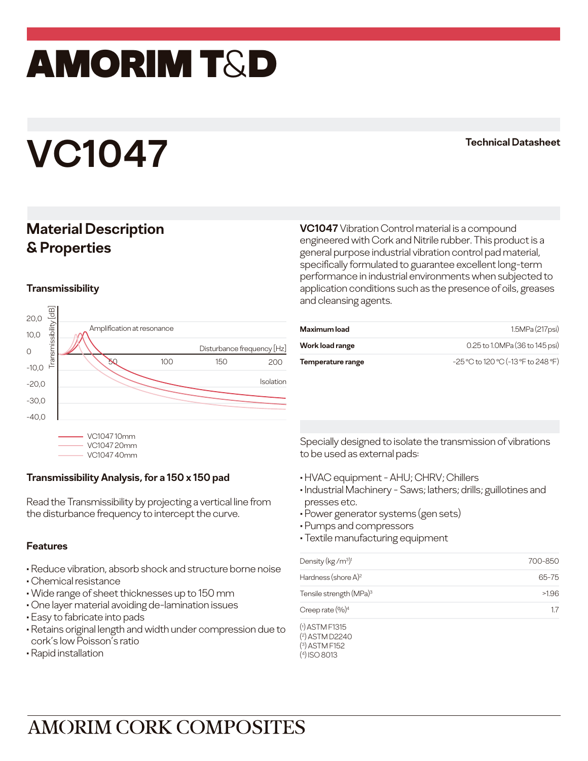## amorim T&D

# **VC1047 Technical Datasheet**

### **Material Description & Properties**

#### **Transmissibility**



| and cleansing agents. | application conditions such as the presence of oils, greases |
|-----------------------|--------------------------------------------------------------|
| <b>Maximum load</b>   | 1.5MPa (217psi)                                              |
| Work load range       | 0.25 to 1.0MPa (36 to 145 psi)                               |

**VC1047** Vibration Control material is a compound engineered with Cork and Nitrile rubber. This product is a general purpose industrial vibration control pad material, specifically formulated to guarantee excellent long-term performance in industrial environments when subjected to

**Temperature range** 

C to 120 °C (-13 °F to 248 °F)

VC1047 40mm

### **Transmissibility Analysis, for a 150 x 150 pad**

Read the Transmissibility by projecting a vertical line from the disturbance frequency to intercept the curve.

#### **Features**

- Reduce vibration, absorb shock and structure borne noise
- Chemical resistance
- Wide range of sheet thicknesses up to 150 mm
- One layer material avoiding de-lamination issues
- Easy to fabricate into pads
- Retains original length and width under compression due to cork's low Poisson's ratio
- Rapid installation

Specially designed to isolate the transmission of vibrations to be used as external pads:

- HVAC equipment AHU; CHRV; Chillers
- Industrial Machinery Saws; lathers; drills; guillotines and presses etc.
- Power generator systems (gen sets)
- Pumps and compressors

( 4) ISO 8013

• Textile manufacturing equipment

| Density (kg/m <sup>3)1</sup>                            | 700-850 |
|---------------------------------------------------------|---------|
| Hardness (shore $A$ ) <sup>2</sup>                      | 65-75   |
| Tensile strength (MPa) <sup>3</sup>                     | >1.96   |
| Creep rate $(\%)^4$                                     | 17      |
| $(1)$ ASTM F1315<br>$(2)$ ASTM D2240<br>$(3)$ ASTM F152 |         |